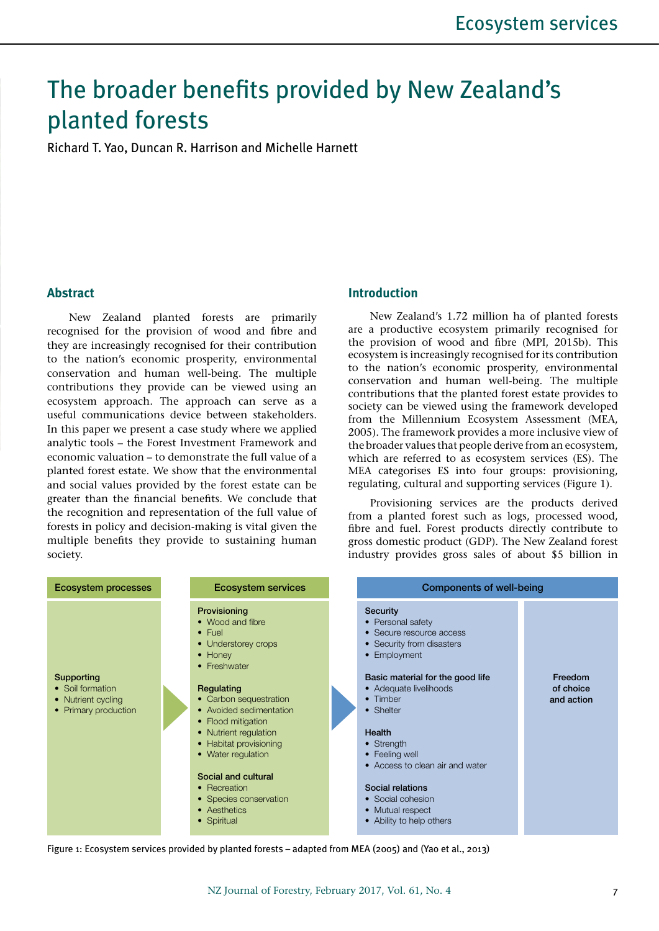# The broader benefits provided by New Zealand's planted forests

Richard T. Yao, Duncan R. Harrison and Michelle Harnett

## **Abstract**

New Zealand planted forests are primarily recognised for the provision of wood and fibre and they are increasingly recognised for their contribution to the nation's economic prosperity, environmental conservation and human well-being. The multiple contributions they provide can be viewed using an ecosystem approach. The approach can serve as a useful communications device between stakeholders. In this paper we present a case study where we applied analytic tools – the Forest Investment Framework and economic valuation – to demonstrate the full value of a planted forest estate. We show that the environmental and social values provided by the forest estate can be greater than the financial benefits. We conclude that the recognition and representation of the full value of forests in policy and decision-making is vital given the multiple benefits they provide to sustaining human society.

### **Introduction**

New Zealand's 1.72 million ha of planted forests are a productive ecosystem primarily recognised for the provision of wood and fibre (MPI, 2015b). This ecosystem is increasingly recognised for its contribution to the nation's economic prosperity, environmental conservation and human well-being. The multiple contributions that the planted forest estate provides to society can be viewed using the framework developed from the Millennium Ecosystem Assessment (MEA, 2005). The framework provides a more inclusive view of the broader values that people derive from an ecosystem, which are referred to as ecosystem services (ES). The MEA categorises ES into four groups: provisioning, regulating, cultural and supporting services (Figure 1).

Provisioning services are the products derived from a planted forest such as logs, processed wood, fibre and fuel. Forest products directly contribute to gross domestic product (GDP). The New Zealand forest industry provides gross sales of about \$5 billion in



Figure 1: Ecosystem services provided by planted forests – adapted from MEA (2005) and (Yao et al., 2013)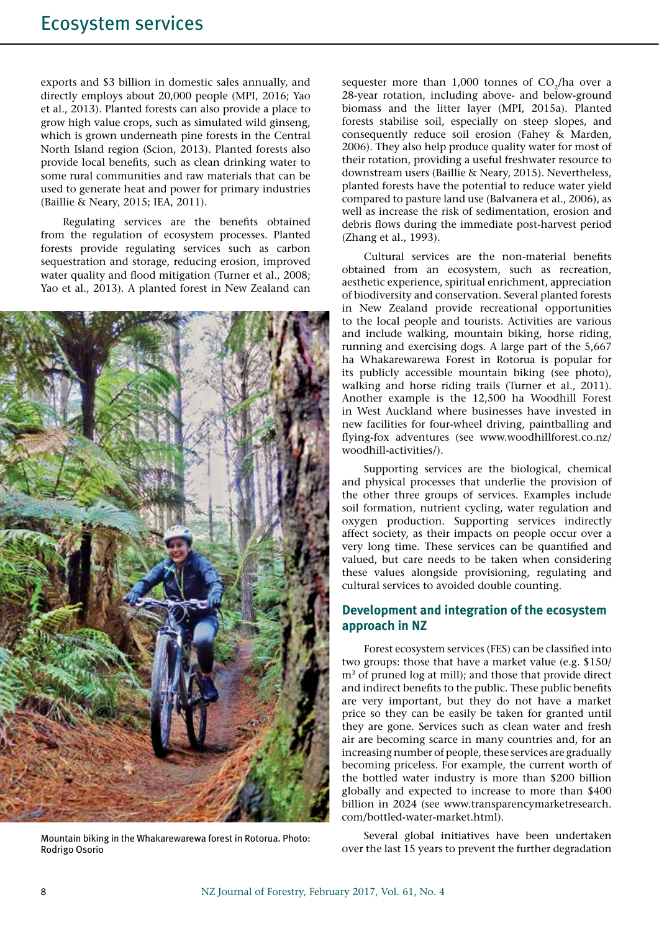exports and \$3 billion in domestic sales annually, and directly employs about 20,000 people (MPI, 2016; Yao et al., 2013). Planted forests can also provide a place to grow high value crops, such as simulated wild ginseng, which is grown underneath pine forests in the Central North Island region (Scion, 2013). Planted forests also provide local benefits, such as clean drinking water to some rural communities and raw materials that can be used to generate heat and power for primary industries (Baillie & Neary, 2015; IEA, 2011).

Regulating services are the benefits obtained from the regulation of ecosystem processes. Planted forests provide regulating services such as carbon sequestration and storage, reducing erosion, improved water quality and flood mitigation (Turner et al., 2008; Yao et al., 2013). A planted forest in New Zealand can



Mountain biking in the Whakarewarewa forest in Rotorua. Photo: Rodrigo Osorio

sequester more than  $1,000$  tonnes of  $CO<sub>a</sub>/ha$  over a 28-year rotation, including above- and below-ground biomass and the litter layer (MPI, 2015a). Planted forests stabilise soil, especially on steep slopes, and consequently reduce soil erosion (Fahey & Marden, 2006). They also help produce quality water for most of their rotation, providing a useful freshwater resource to downstream users (Baillie & Neary, 2015). Nevertheless, planted forests have the potential to reduce water yield compared to pasture land use (Balvanera et al., 2006), as well as increase the risk of sedimentation, erosion and debris flows during the immediate post-harvest period (Zhang et al., 1993).

Cultural services are the non-material benefits obtained from an ecosystem, such as recreation, aesthetic experience, spiritual enrichment, appreciation of biodiversity and conservation. Several planted forests in New Zealand provide recreational opportunities to the local people and tourists. Activities are various and include walking, mountain biking, horse riding, running and exercising dogs. A large part of the 5,667 ha Whakarewarewa Forest in Rotorua is popular for its publicly accessible mountain biking (see photo), walking and horse riding trails (Turner et al., 2011). Another example is the 12,500 ha Woodhill Forest in West Auckland where businesses have invested in new facilities for four-wheel driving, paintballing and flying-fox adventures (see www.woodhillforest.co.nz/ woodhill-activities/).

Supporting services are the biological, chemical and physical processes that underlie the provision of the other three groups of services. Examples include soil formation, nutrient cycling, water regulation and oxygen production. Supporting services indirectly affect society, as their impacts on people occur over a very long time. These services can be quantified and valued, but care needs to be taken when considering these values alongside provisioning, regulating and cultural services to avoided double counting.

# **Development and integration of the ecosystem approach in NZ**

Forest ecosystem services (FES) can be classified into two groups: those that have a market value (e.g. \$150/ m<sup>3</sup> of pruned log at mill); and those that provide direct and indirect benefits to the public. These public benefits are very important, but they do not have a market price so they can be easily be taken for granted until they are gone. Services such as clean water and fresh air are becoming scarce in many countries and, for an increasing number of people, these services are gradually becoming priceless. For example, the current worth of the bottled water industry is more than \$200 billion globally and expected to increase to more than \$400 billion in 2024 (see www.transparencymarketresearch. com/bottled-water-market.html).

Several global initiatives have been undertaken over the last 15 years to prevent the further degradation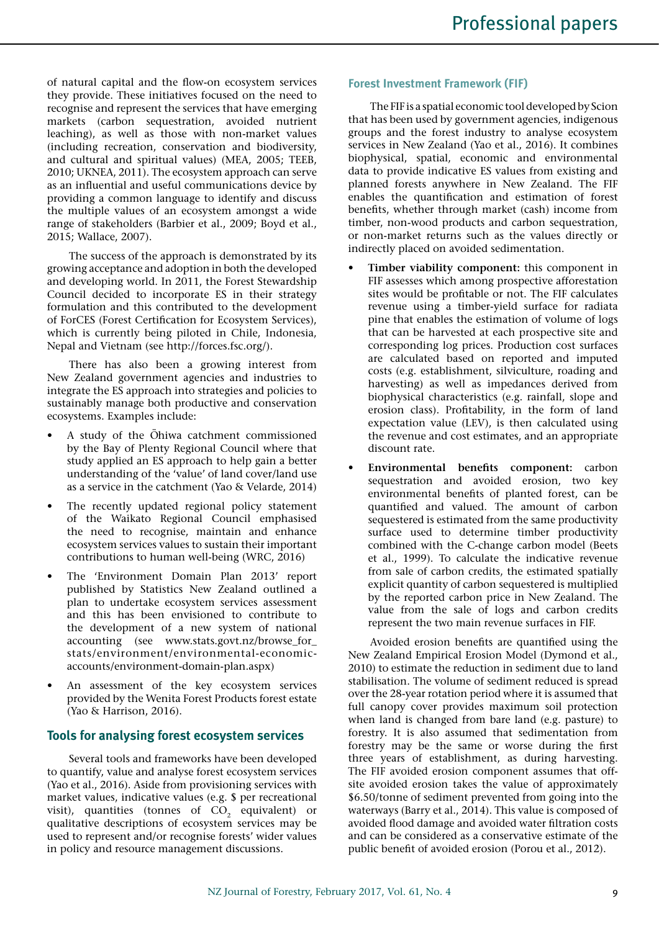of natural capital and the flow-on ecosystem services they provide. These initiatives focused on the need to recognise and represent the services that have emerging markets (carbon sequestration, avoided nutrient leaching), as well as those with non-market values (including recreation, conservation and biodiversity, and cultural and spiritual values) (MEA, 2005; TEEB, 2010; UKNEA, 2011). The ecosystem approach can serve as an influential and useful communications device by providing a common language to identify and discuss the multiple values of an ecosystem amongst a wide range of stakeholders (Barbier et al., 2009; Boyd et al., 2015; Wallace, 2007).

The success of the approach is demonstrated by its growing acceptance and adoption in both the developed and developing world. In 2011, the Forest Stewardship Council decided to incorporate ES in their strategy formulation and this contributed to the development of ForCES (Forest Certification for Ecosystem Services), which is currently being piloted in Chile, Indonesia, Nepal and Vietnam (see http://forces.fsc.org/).

There has also been a growing interest from New Zealand government agencies and industries to integrate the ES approach into strategies and policies to sustainably manage both productive and conservation ecosystems. Examples include:

- A study of the Ohiwa catchment commissioned by the Bay of Plenty Regional Council where that study applied an ES approach to help gain a better understanding of the 'value' of land cover/land use as a service in the catchment (Yao & Velarde, 2014)
- The recently updated regional policy statement of the Waikato Regional Council emphasised the need to recognise, maintain and enhance ecosystem services values to sustain their important contributions to human well-being (WRC, 2016)
- The 'Environment Domain Plan 2013' report published by Statistics New Zealand outlined a plan to undertake ecosystem services assessment and this has been envisioned to contribute to the development of a new system of national accounting (see www.stats.govt.nz/browse\_for\_ stats/environment/environmental-economicaccounts/environment-domain-plan.aspx)
- An assessment of the key ecosystem services provided by the Wenita Forest Products forest estate (Yao & Harrison, 2016).

# **Tools for analysing forest ecosystem services**

Several tools and frameworks have been developed to quantify, value and analyse forest ecosystem services (Yao et al., 2016). Aside from provisioning services with market values, indicative values (e.g. \$ per recreational visit), quantities (tonnes of CO<sub>2</sub> equivalent) or qualitative descriptions of ecosystem services may be used to represent and/or recognise forests' wider values in policy and resource management discussions.

## **Forest Investment Framework (FIF)**

The FIF is a spatial economic tool developed by Scion that has been used by government agencies, indigenous groups and the forest industry to analyse ecosystem services in New Zealand (Yao et al., 2016). It combines biophysical, spatial, economic and environmental data to provide indicative ES values from existing and planned forests anywhere in New Zealand. The FIF enables the quantification and estimation of forest benefits, whether through market (cash) income from timber, non-wood products and carbon sequestration, or non-market returns such as the values directly or indirectly placed on avoided sedimentation.

- **• Timber viability component:** this component in FIF assesses which among prospective afforestation sites would be profitable or not. The FIF calculates revenue using a timber-yield surface for radiata pine that enables the estimation of volume of logs that can be harvested at each prospective site and corresponding log prices. Production cost surfaces are calculated based on reported and imputed costs (e.g. establishment, silviculture, roading and harvesting) as well as impedances derived from biophysical characteristics (e.g. rainfall, slope and erosion class). Profitability, in the form of land expectation value (LEV), is then calculated using the revenue and cost estimates, and an appropriate discount rate.
- **• Environmental benefits component:** carbon sequestration and avoided erosion, two key environmental benefits of planted forest, can be quantified and valued. The amount of carbon sequestered is estimated from the same productivity surface used to determine timber productivity combined with the C-change carbon model (Beets et al., 1999). To calculate the indicative revenue from sale of carbon credits, the estimated spatially explicit quantity of carbon sequestered is multiplied by the reported carbon price in New Zealand. The value from the sale of logs and carbon credits represent the two main revenue surfaces in FIF.

Avoided erosion benefits are quantified using the New Zealand Empirical Erosion Model (Dymond et al., 2010) to estimate the reduction in sediment due to land stabilisation. The volume of sediment reduced is spread over the 28-year rotation period where it is assumed that full canopy cover provides maximum soil protection when land is changed from bare land (e.g. pasture) to forestry. It is also assumed that sedimentation from forestry may be the same or worse during the first three years of establishment, as during harvesting. The FIF avoided erosion component assumes that offsite avoided erosion takes the value of approximately \$6.50/tonne of sediment prevented from going into the waterways (Barry et al., 2014). This value is composed of avoided flood damage and avoided water filtration costs and can be considered as a conservative estimate of the public benefit of avoided erosion (Porou et al., 2012).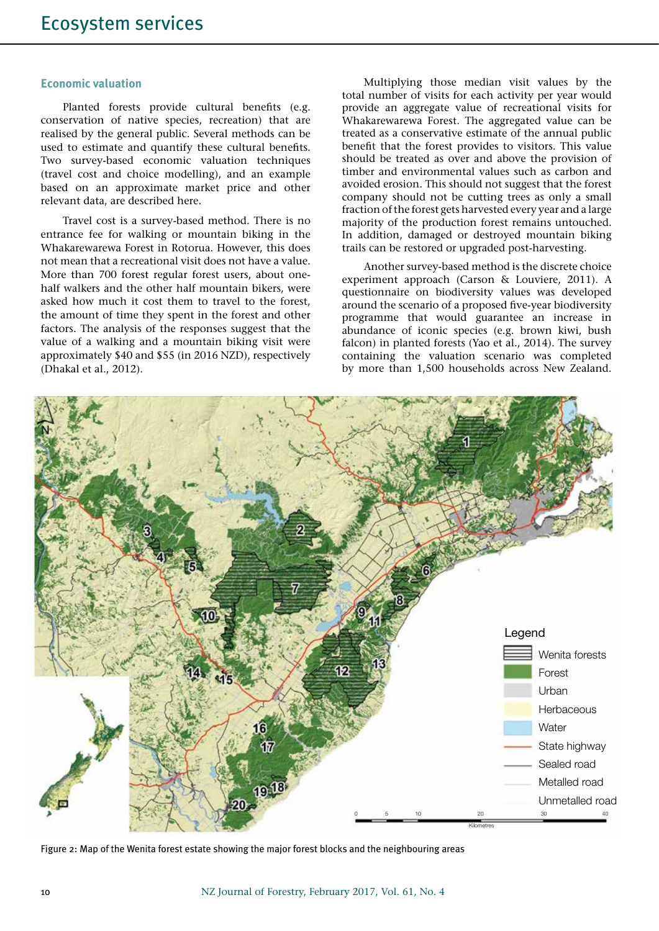#### **Economic valuation**

Planted forests provide cultural benefits (e.g. conservation of native species, recreation) that are realised by the general public. Several methods can be used to estimate and quantify these cultural benefits. Two survey-based economic valuation techniques (travel cost and choice modelling), and an example based on an approximate market price and other relevant data, are described here.

Travel cost is a survey-based method. There is no entrance fee for walking or mountain biking in the Whakarewarewa Forest in Rotorua. However, this does not mean that a recreational visit does not have a value. More than 700 forest regular forest users, about onehalf walkers and the other half mountain bikers, were asked how much it cost them to travel to the forest, the amount of time they spent in the forest and other factors. The analysis of the responses suggest that the value of a walking and a mountain biking visit were approximately \$40 and \$55 (in 2016 NZD), respectively (Dhakal et al., 2012).

Multiplying those median visit values by the total number of visits for each activity per year would provide an aggregate value of recreational visits for Whakarewarewa Forest. The aggregated value can be treated as a conservative estimate of the annual public benefit that the forest provides to visitors. This value should be treated as over and above the provision of timber and environmental values such as carbon and avoided erosion. This should not suggest that the forest company should not be cutting trees as only a small fraction of the forest gets harvested every year and a large majority of the production forest remains untouched. In addition, damaged or destroyed mountain biking trails can be restored or upgraded post-harvesting.

Another survey-based method is the discrete choice experiment approach (Carson & Louviere, 2011). A questionnaire on biodiversity values was developed around the scenario of a proposed five-year biodiversity programme that would guarantee an increase in abundance of iconic species (e.g. brown kiwi, bush falcon) in planted forests (Yao et al., 2014). The survey containing the valuation scenario was completed by more than 1,500 households across New Zealand.



Figure 2: Map of the Wenita forest estate showing the major forest blocks and the neighbouring areas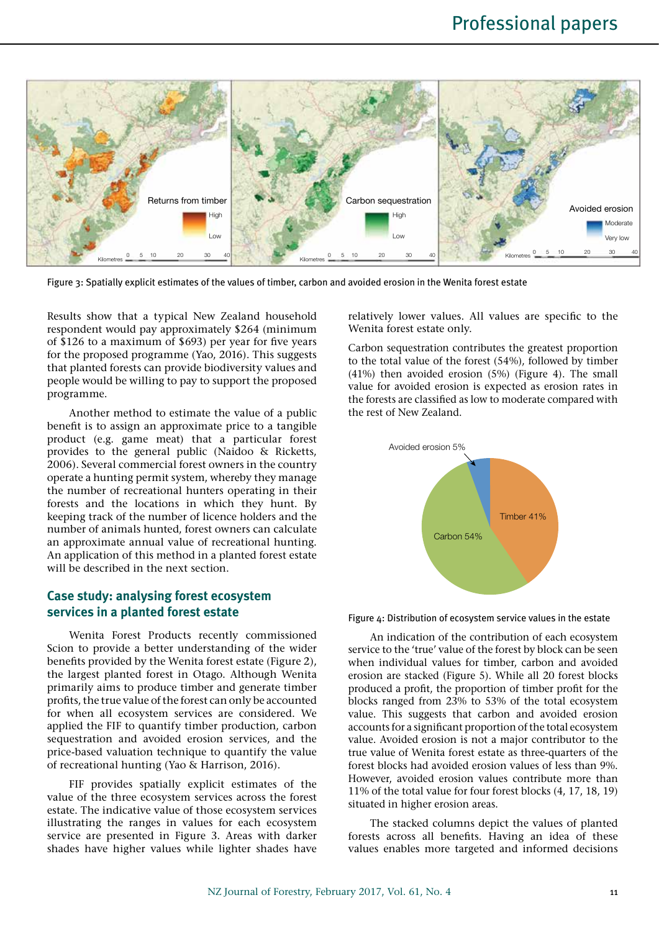

Figure 3: Spatially explicit estimates of the values of timber, carbon and avoided erosion in the Wenita forest estate

Results show that a typical New Zealand household respondent would pay approximately \$264 (minimum of \$126 to a maximum of \$693) per year for five years for the proposed programme (Yao, 2016). This suggests that planted forests can provide biodiversity values and people would be willing to pay to support the proposed programme.

Another method to estimate the value of a public benefit is to assign an approximate price to a tangible product (e.g. game meat) that a particular forest provides to the general public (Naidoo & Ricketts, 2006). Several commercial forest owners in the country operate a hunting permit system, whereby they manage the number of recreational hunters operating in their forests and the locations in which they hunt. By keeping track of the number of licence holders and the number of animals hunted, forest owners can calculate an approximate annual value of recreational hunting. An application of this method in a planted forest estate will be described in the next section.

## **Case study: analysing forest ecosystem services in a planted forest estate**

Wenita Forest Products recently commissioned Scion to provide a better understanding of the wider benefits provided by the Wenita forest estate (Figure 2), the largest planted forest in Otago. Although Wenita primarily aims to produce timber and generate timber profits, the true value of the forest can only be accounted for when all ecosystem services are considered. We applied the FIF to quantify timber production, carbon sequestration and avoided erosion services, and the price-based valuation technique to quantify the value of recreational hunting (Yao & Harrison, 2016).

FIF provides spatially explicit estimates of the value of the three ecosystem services across the forest estate. The indicative value of those ecosystem services illustrating the ranges in values for each ecosystem service are presented in Figure 3. Areas with darker shades have higher values while lighter shades have relatively lower values. All values are specific to the Wenita forest estate only.

Carbon sequestration contributes the greatest proportion to the total value of the forest (54%), followed by timber (41%) then avoided erosion (5%) (Figure 4). The small value for avoided erosion is expected as erosion rates in the forests are classified as low to moderate compared with the rest of New Zealand.



Figure 4: Distribution of ecosystem service values in the estate

An indication of the contribution of each ecosystem service to the 'true' value of the forest by block can be seen when individual values for timber, carbon and avoided erosion are stacked (Figure 5). While all 20 forest blocks produced a profit, the proportion of timber profit for the blocks ranged from 23% to 53% of the total ecosystem value. This suggests that carbon and avoided erosion accounts for a significant proportion of the total ecosystem value. Avoided erosion is not a major contributor to the true value of Wenita forest estate as three-quarters of the forest blocks had avoided erosion values of less than 9%. However, avoided erosion values contribute more than 11% of the total value for four forest blocks (4, 17, 18, 19) situated in higher erosion areas.

The stacked columns depict the values of planted forests across all benefits. Having an idea of these values enables more targeted and informed decisions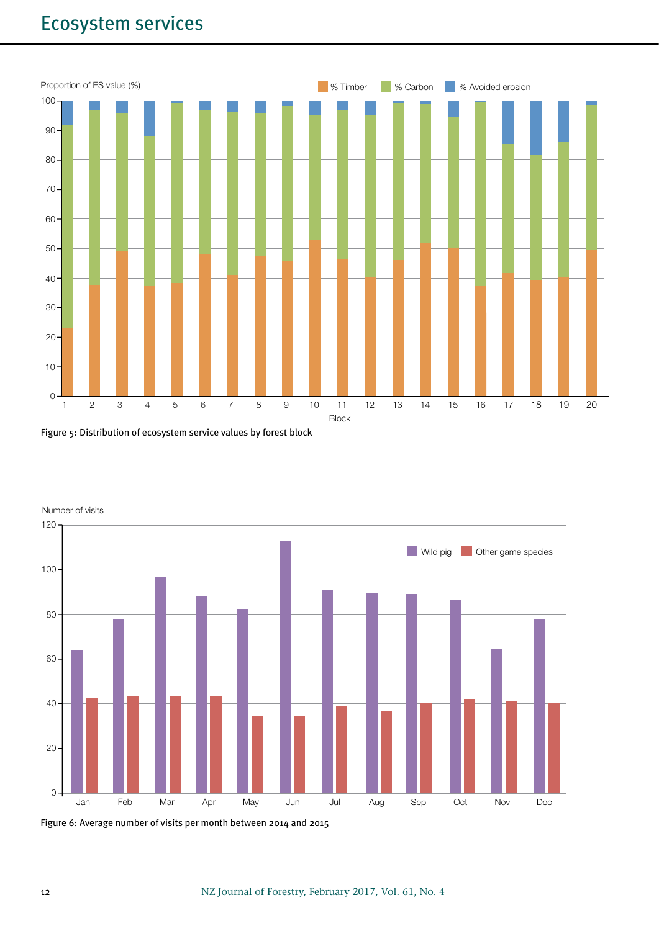# Ecosystem services







Number of visits

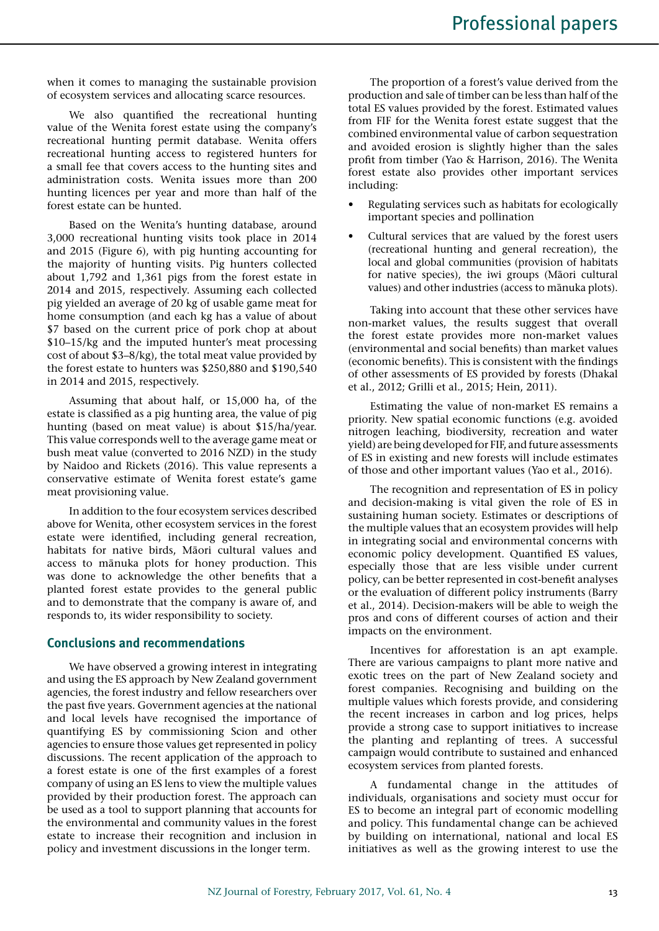when it comes to managing the sustainable provision of ecosystem services and allocating scarce resources.

We also quantified the recreational hunting value of the Wenita forest estate using the company's recreational hunting permit database. Wenita offers recreational hunting access to registered hunters for a small fee that covers access to the hunting sites and administration costs. Wenita issues more than 200 hunting licences per year and more than half of the forest estate can be hunted.

Based on the Wenita's hunting database, around 3,000 recreational hunting visits took place in 2014 and 2015 (Figure 6), with pig hunting accounting for the majority of hunting visits. Pig hunters collected about 1,792 and 1,361 pigs from the forest estate in 2014 and 2015, respectively. Assuming each collected pig yielded an average of 20 kg of usable game meat for home consumption (and each kg has a value of about \$7 based on the current price of pork chop at about \$10–15/kg and the imputed hunter's meat processing cost of about \$3–8/kg), the total meat value provided by the forest estate to hunters was \$250,880 and \$190,540 in 2014 and 2015, respectively.

Assuming that about half, or 15,000 ha, of the estate is classified as a pig hunting area, the value of pig hunting (based on meat value) is about \$15/ha/year. This value corresponds well to the average game meat or bush meat value (converted to 2016 NZD) in the study by Naidoo and Rickets (2016). This value represents a conservative estimate of Wenita forest estate's game meat provisioning value.

In addition to the four ecosystem services described above for Wenita, other ecosystem services in the forest estate were identified, including general recreation, habitats for native birds, Māori cultural values and access to mānuka plots for honey production. This was done to acknowledge the other benefits that a planted forest estate provides to the general public and to demonstrate that the company is aware of, and responds to, its wider responsibility to society.

## **Conclusions and recommendations**

We have observed a growing interest in integrating and using the ES approach by New Zealand government agencies, the forest industry and fellow researchers over the past five years. Government agencies at the national and local levels have recognised the importance of quantifying ES by commissioning Scion and other agencies to ensure those values get represented in policy discussions. The recent application of the approach to a forest estate is one of the first examples of a forest company of using an ES lens to view the multiple values provided by their production forest. The approach can be used as a tool to support planning that accounts for the environmental and community values in the forest estate to increase their recognition and inclusion in policy and investment discussions in the longer term.

The proportion of a forest's value derived from the production and sale of timber can be less than half of the total ES values provided by the forest. Estimated values from FIF for the Wenita forest estate suggest that the combined environmental value of carbon sequestration and avoided erosion is slightly higher than the sales profit from timber (Yao & Harrison, 2016). The Wenita forest estate also provides other important services including:

- Regulating services such as habitats for ecologically important species and pollination
- Cultural services that are valued by the forest users (recreational hunting and general recreation), the local and global communities (provision of habitats for native species), the iwi groups (Māori cultural values) and other industries (access to mānuka plots).

Taking into account that these other services have non-market values, the results suggest that overall the forest estate provides more non-market values (environmental and social benefits) than market values (economic benefits). This is consistent with the findings of other assessments of ES provided by forests (Dhakal et al., 2012; Grilli et al., 2015; Hein, 2011).

Estimating the value of non-market ES remains a priority. New spatial economic functions (e.g. avoided nitrogen leaching, biodiversity, recreation and water yield) are being developed for FIF, and future assessments of ES in existing and new forests will include estimates of those and other important values (Yao et al., 2016).

The recognition and representation of ES in policy and decision-making is vital given the role of ES in sustaining human society. Estimates or descriptions of the multiple values that an ecosystem provides will help in integrating social and environmental concerns with economic policy development. Quantified ES values, especially those that are less visible under current policy, can be better represented in cost-benefit analyses or the evaluation of different policy instruments (Barry et al., 2014). Decision-makers will be able to weigh the pros and cons of different courses of action and their impacts on the environment.

Incentives for afforestation is an apt example. There are various campaigns to plant more native and exotic trees on the part of New Zealand society and forest companies. Recognising and building on the multiple values which forests provide, and considering the recent increases in carbon and log prices, helps provide a strong case to support initiatives to increase the planting and replanting of trees. A successful campaign would contribute to sustained and enhanced ecosystem services from planted forests.

A fundamental change in the attitudes of individuals, organisations and society must occur for ES to become an integral part of economic modelling and policy. This fundamental change can be achieved by building on international, national and local ES initiatives as well as the growing interest to use the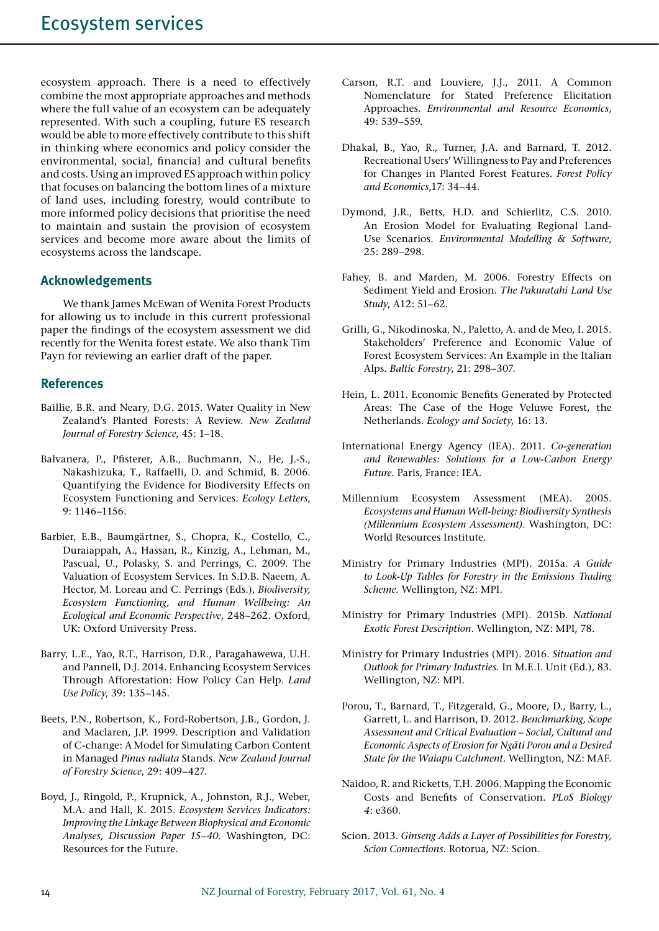ecosystem approach. There is a need to effectively combine the most appropriate approaches and methods where the full value of an ecosystem can be adequately represented. With such a coupling, future ES research would be able to more effectively contribute to this shift in thinking where economics and policy consider the environmental, social, financial and cultural benefits and costs. Using an improved ES approach within policy that focuses on balancing the bottom lines of a mixture of land uses, including forestry, would contribute to more informed policy decisions that prioritise the need to maintain and sustain the provision of ecosystem services and become more aware about the limits of ecosystems across the landscape.

## **Acknowledgements**

We thank James McEwan of Wenita Forest Products for allowing us to include in this current professional paper the findings of the ecosystem assessment we did recently for the Wenita forest estate. We also thank Tim Payn for reviewing an earlier draft of the paper.

## **References**

- Baillie, B.R. and Neary, D.G. 2015. Water Quality in New Zealand's Planted Forests: A Review. *New Zealand Journal of Forestry Science*, 45: 1–18.
- Balvanera, P., Pfisterer, A.B., Buchmann, N., He, J.-S., Nakashizuka, T., Raffaelli, D. and Schmid, B. 2006. Quantifying the Evidence for Biodiversity Effects on Ecosystem Functioning and Services. *Ecology Letters*, 9: 1146–1156.
- Barbier, E.B., Baumgärtner, S., Chopra, K., Costello, C., Duraiappah, A., Hassan, R., Kinzig, A., Lehman, M., Pascual, U., Polasky, S. and Perrings, C. 2009. The Valuation of Ecosystem Services. In S.D.B. Naeem, A. Hector, M. Loreau and C. Perrings (Eds.), *Biodiversity, Ecosystem Functioning, and Human Wellbeing: An Ecological and Economic Perspective*, 248–262. Oxford, UK: Oxford University Press.
- Barry, L.E., Yao, R.T., Harrison, D.R., Paragahawewa, U.H. and Pannell, D.J. 2014. Enhancing Ecosystem Services Through Afforestation: How Policy Can Help. *Land Use Policy*, 39: 135–145.
- Beets, P.N., Robertson, K., Ford-Robertson, J.B., Gordon, J. and Maclaren, J.P. 1999. Description and Validation of C-change: A Model for Simulating Carbon Content in Managed *Pinus radiata* Stands. *New Zealand Journal of Forestry Science*, 29: 409–427.
- Boyd, J., Ringold, P., Krupnick, A., Johnston, R.J., Weber, M.A. and Hall, K. 2015. *Ecosystem Services Indicators: Improving the Linkage Between Biophysical and Economic Analyses, Discussion Paper 15–40*. Washington, DC: Resources for the Future.
- Carson, R.T. and Louviere, J.J., 2011. A Common Nomenclature for Stated Preference Elicitation Approaches. *Environmental and Resource Economics*, 49: 539–559.
- Dhakal, B., Yao, R., Turner, J.A. and Barnard, T. 2012. Recreational Users' Willingness to Pay and Preferences for Changes in Planted Forest Features. *Forest Policy and Economics*,17: 34–44.
- Dymond, J.R., Betts, H.D. and Schierlitz, C.S. 2010. An Erosion Model for Evaluating Regional Land-Use Scenarios. *Environmental Modelling & Software*, 25: 289–298.
- Fahey, B. and Marden, M. 2006. Forestry Effects on Sediment Yield and Erosion. *The Pakuratahi Land Use Study*, A12: 51–62.
- Grilli, G., Nikodinoska, N., Paletto, A. and de Meo, I. 2015. Stakeholders' Preference and Economic Value of Forest Ecosystem Services: An Example in the Italian Alps. *Baltic Forestry*, 21: 298–307.
- Hein, L. 2011. Economic Benefits Generated by Protected Areas: The Case of the Hoge Veluwe Forest, the Netherlands. *Ecology and Society*, 16: 13.
- International Energy Agency (IEA). 2011. *Co-generation and Renewables: Solutions for a Low-Carbon Energy Future.* Paris, France: IEA.
- Millennium Ecosystem Assessment (MEA). 2005. *Ecosystems and Human Well-being: Biodiversity Synthesis (Millennium Ecosystem Assessment)*. Washington, DC: World Resources Institute.
- Ministry for Primary Industries (MPI). 2015a. *A Guide to Look-Up Tables for Forestry in the Emissions Trading Scheme.* Wellington, NZ: MPI.
- Ministry for Primary Industries (MPI). 2015b. *National Exotic Forest Description*. Wellington, NZ: MPI, 78.
- Ministry for Primary Industries (MPI). 2016. *Situation and Outlook for Primary Industries.* In M.E.I. Unit (Ed.), 83. Wellington, NZ: MPI.
- Porou, T., Barnard, T., Fitzgerald, G., Moore, D., Barry, L., Garrett, L. and Harrison, D. 2012. *Benchmarking, Scope Assessment and Critical Evaluation – Social, Cultural and Economic Aspects of Erosion for Nga¯ti Porou and a Desired State for the Waiapu Catchment*. Wellington, NZ: MAF.
- Naidoo, R. and Ricketts, T.H. 2006. Mapping the Economic Costs and Benefits of Conservation. *PLoS Biology 4*: e360.
- Scion. 2013. *Ginseng Adds a Layer of Possibilities for Forestry, Scion Connections.* Rotorua, NZ: Scion.